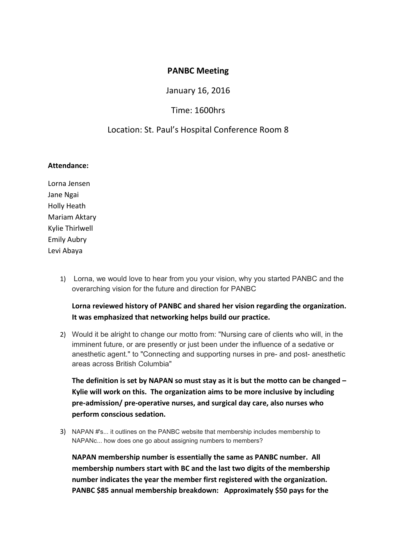### **PANBC Meeting**

January 16, 2016

## Time: 1600hrs

## Location: St. Paul's Hospital Conference Room 8

### **Attendance:**

Lorna Jensen Jane Ngai Holly Heath Mariam Aktary Kylie Thirlwell Emily Aubry Levi Abaya

> 1) Lorna, we would love to hear from you your vision, why you started PANBC and the overarching vision for the future and direction for PANBC

**Lorna reviewed history of PANBC and shared her vision regarding the organization. It was emphasized that networking helps build our practice.** 

2) Would it be alright to change our motto from: "Nursing care of clients who will, in the imminent future, or are presently or just been under the influence of a sedative or anesthetic agent." to "Connecting and supporting nurses in pre- and post- anesthetic areas across British Columbia"

**The definition is set by NAPAN so must stay as it is but the motto can be changed – Kylie will work on this. The organization aims to be more inclusive by including pre-admission/ pre-operative nurses, and surgical day care, also nurses who perform conscious sedation.** 

3) NAPAN #'s... it outlines on the PANBC website that membership includes membership to NAPANc... how does one go about assigning numbers to members?

**NAPAN membership number is essentially the same as PANBC number. All membership numbers start with BC and the last two digits of the membership number indicates the year the member first registered with the organization. PANBC \$85 annual membership breakdown: Approximately \$50 pays for the**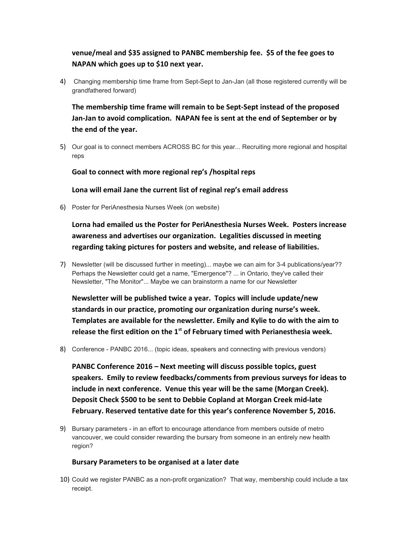# **venue/meal and \$35 assigned to PANBC membership fee. \$5 of the fee goes to NAPAN which goes up to \$10 next year.**

4) Changing membership time frame from Sept-Sept to Jan-Jan (all those registered currently will be grandfathered forward)

**The membership time frame will remain to be Sept-Sept instead of the proposed Jan-Jan to avoid complication. NAPAN fee is sent at the end of September or by the end of the year.** 

5) Our goal is to connect members ACROSS BC for this year... Recruiting more regional and hospital reps

**Goal to connect with more regional rep's /hospital reps**

**Lona will email Jane the current list of reginal rep's email address**

6) Poster for PeriAnesthesia Nurses Week (on website)

**Lorna had emailed us the Poster for PeriAnesthesia Nurses Week. Posters increase awareness and advertises our organization. Legalities discussed in meeting regarding taking pictures for posters and website, and release of liabilities.** 

7) Newsletter (will be discussed further in meeting)... maybe we can aim for 3-4 publications/year?? Perhaps the Newsletter could get a name, "Emergence"? ... in Ontario, they've called their Newsletter, "The Monitor"... Maybe we can brainstorm a name for our Newsletter

**Newsletter will be published twice a year. Topics will include update/new standards in our practice, promoting our organization during nurse's week. Templates are available for the newsletter. Emily and Kylie to do with the aim to release the first edition on the 1st of February timed with Perianesthesia week.**

8) Conference - PANBC 2016... (topic ideas, speakers and connecting with previous vendors)

**PANBC Conference 2016 – Next meeting will discuss possible topics, guest speakers. Emily to review feedbacks/comments from previous surveys for ideas to include in next conference. Venue this year will be the same (Morgan Creek). Deposit Check \$500 to be sent to Debbie Copland at Morgan Creek mid-late February. Reserved tentative date for this year's conference November 5, 2016.**

9) Bursary parameters - in an effort to encourage attendance from members outside of metro vancouver, we could consider rewarding the bursary from someone in an entirely new health region?

#### **Bursary Parameters to be organised at a later date**

10) Could we register PANBC as a non-profit organization? That way, membership could include a tax receipt.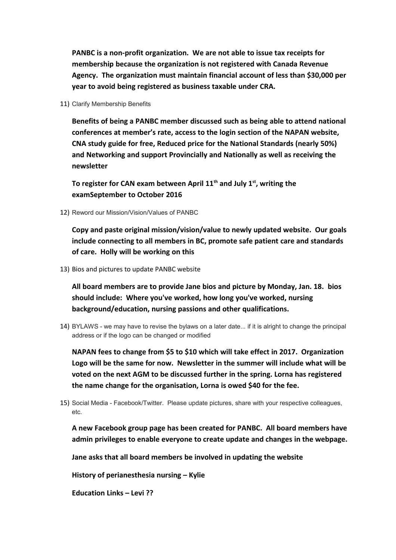**PANBC is a non-profit organization. We are not able to issue tax receipts for membership because the organization is not registered with Canada Revenue Agency. The organization must maintain financial account of less than \$30,000 per year to avoid being registered as business taxable under CRA.**

11) Clarify Membership Benefits

**Benefits of being a PANBC member discussed such as being able to attend national conferences at member's rate, access to the login section of the NAPAN website, CNA study guide for free, Reduced price for the National Standards (nearly 50%) and Networking and support Provincially and Nationally as well as receiving the newsletter**

**To register for CAN exam between April 11th and July 1st, writing the examSeptember to October 2016**

12) Reword our Mission/Vision/Values of PANBC

**Copy and paste original mission/vision/value to newly updated website. Our goals include connecting to all members in BC, promote safe patient care and standards of care. Holly will be working on this**

13) Bios and pictures to update PANBC website

**All board members are to provide Jane bios and picture by Monday, Jan. 18. bios should include: Where you've worked, how long you've worked, nursing background/education, nursing passions and other qualifications.**

14) BYLAWS - we may have to revise the bylaws on a later date... if it is alright to change the principal address or if the logo can be changed or modified

**NAPAN fees to change from \$5 to \$10 which will take effect in 2017. Organization Logo will be the same for now. Newsletter in the summer will include what will be voted on the next AGM to be discussed further in the spring. Lorna has registered the name change for the organisation, Lorna is owed \$40 for the fee.** 

15) Social Media - Facebook/Twitter. Please update pictures, share with your respective colleagues, etc.

**A new Facebook group page has been created for PANBC. All board members have admin privileges to enable everyone to create update and changes in the webpage.**

**Jane asks that all board members be involved in updating the website**

**History of perianesthesia nursing – Kylie**

**Education Links – Levi ??**